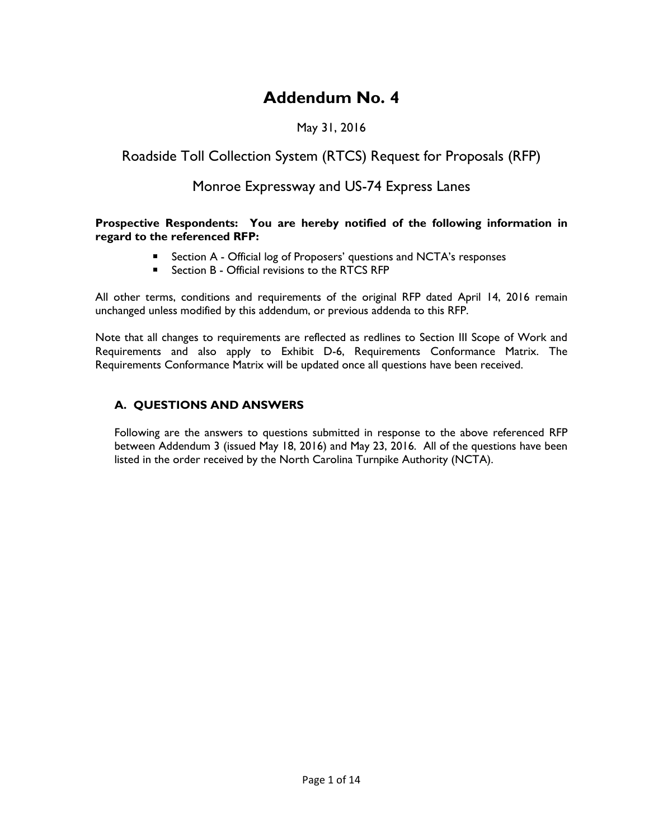# **Addendum No. 4**

## May 31, 2016

# Roadside Toll Collection System (RTCS) Request for Proposals (RFP)

# Monroe Expressway and US-74 Express Lanes

#### **Prospective Respondents: You are hereby notified of the following information in regard to the referenced RFP:**

- **EXECT** Section A Official log of Proposers' questions and NCTA's responses
- Section B Official revisions to the RTCS RFP

All other terms, conditions and requirements of the original RFP dated April 14, 2016 remain unchanged unless modified by this addendum, or previous addenda to this RFP.

Note that all changes to requirements are reflected as redlines to Section III Scope of Work and Requirements and also apply to Exhibit D-6, Requirements Conformance Matrix. The Requirements Conformance Matrix will be updated once all questions have been received.

### **A. QUESTIONS AND ANSWERS**

Following are the answers to questions submitted in response to the above referenced RFP between Addendum 3 (issued May 18, 2016) and May 23, 2016. All of the questions have been listed in the order received by the North Carolina Turnpike Authority (NCTA).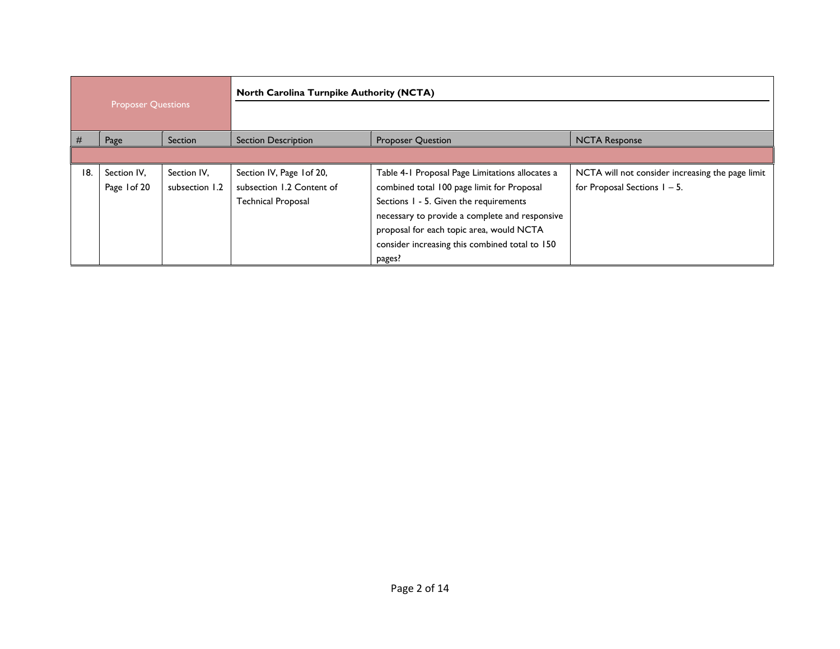| <b>Proposer Questions</b> |              |                | <b>North Carolina Turnpike Authority (NCTA)</b> |                                                 |                                                  |
|---------------------------|--------------|----------------|-------------------------------------------------|-------------------------------------------------|--------------------------------------------------|
|                           |              |                |                                                 |                                                 |                                                  |
| #                         | Page         | Section        | <b>Section Description</b>                      | <b>Proposer Question</b>                        | <b>NCTA Response</b>                             |
|                           |              |                |                                                 |                                                 |                                                  |
| 18.                       | Section IV,  | Section IV,    | Section IV, Page 1 of 20,                       | Table 4-1 Proposal Page Limitations allocates a | NCTA will not consider increasing the page limit |
|                           | Page 1 of 20 | subsection 1.2 | subsection 1.2 Content of                       | combined total 100 page limit for Proposal      | for Proposal Sections $1 - 5$ .                  |
|                           |              |                | <b>Technical Proposal</b>                       | Sections 1 - 5. Given the requirements          |                                                  |
|                           |              |                |                                                 | necessary to provide a complete and responsive  |                                                  |
|                           |              |                |                                                 | proposal for each topic area, would NCTA        |                                                  |
|                           |              |                |                                                 | consider increasing this combined total to 150  |                                                  |
|                           |              |                |                                                 | pages?                                          |                                                  |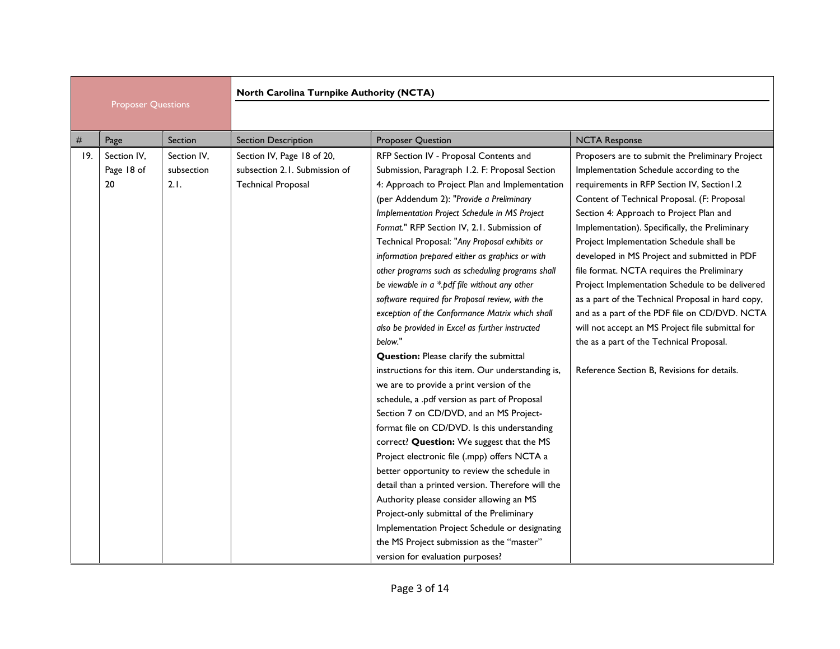|     |                                 |                                   | North Carolina Turnpike Authority (NCTA)                                                 |                                                                                                                                                                                                                                                                                                                                                                                                                                                                                                                                                                                                                                                                                                                                                                                                                                                                                                                                                                                                                                                                                                                                                                                                                                                                                                                                                                                                   |                                                                                                                                                                                                                                                                                                                                                                                                                                                                                                                                                                                                                                                                                                                                          |  |
|-----|---------------------------------|-----------------------------------|------------------------------------------------------------------------------------------|---------------------------------------------------------------------------------------------------------------------------------------------------------------------------------------------------------------------------------------------------------------------------------------------------------------------------------------------------------------------------------------------------------------------------------------------------------------------------------------------------------------------------------------------------------------------------------------------------------------------------------------------------------------------------------------------------------------------------------------------------------------------------------------------------------------------------------------------------------------------------------------------------------------------------------------------------------------------------------------------------------------------------------------------------------------------------------------------------------------------------------------------------------------------------------------------------------------------------------------------------------------------------------------------------------------------------------------------------------------------------------------------------|------------------------------------------------------------------------------------------------------------------------------------------------------------------------------------------------------------------------------------------------------------------------------------------------------------------------------------------------------------------------------------------------------------------------------------------------------------------------------------------------------------------------------------------------------------------------------------------------------------------------------------------------------------------------------------------------------------------------------------------|--|
|     | <b>Proposer Questions</b>       |                                   |                                                                                          |                                                                                                                                                                                                                                                                                                                                                                                                                                                                                                                                                                                                                                                                                                                                                                                                                                                                                                                                                                                                                                                                                                                                                                                                                                                                                                                                                                                                   |                                                                                                                                                                                                                                                                                                                                                                                                                                                                                                                                                                                                                                                                                                                                          |  |
| #   | Page                            | Section                           | <b>Section Description</b>                                                               | <b>Proposer Question</b>                                                                                                                                                                                                                                                                                                                                                                                                                                                                                                                                                                                                                                                                                                                                                                                                                                                                                                                                                                                                                                                                                                                                                                                                                                                                                                                                                                          | <b>NCTA Response</b>                                                                                                                                                                                                                                                                                                                                                                                                                                                                                                                                                                                                                                                                                                                     |  |
| 19. | Section IV.<br>Page 18 of<br>20 | Section IV.<br>subsection<br>2.1. | Section IV, Page 18 of 20,<br>subsection 2.1. Submission of<br><b>Technical Proposal</b> | RFP Section IV - Proposal Contents and<br>Submission, Paragraph 1.2. F: Proposal Section<br>4: Approach to Project Plan and Implementation<br>(per Addendum 2): "Provide a Preliminary<br>Implementation Project Schedule in MS Project<br>Format." RFP Section IV, 2.1. Submission of<br>Technical Proposal: "Any Proposal exhibits or<br>information prepared either as graphics or with<br>other programs such as scheduling programs shall<br>be viewable in $a * p df$ file without any other<br>software required for Proposal review, with the<br>exception of the Conformance Matrix which shall<br>also be provided in Excel as further instructed<br>below."<br><b>Question:</b> Please clarify the submittal<br>instructions for this item. Our understanding is,<br>we are to provide a print version of the<br>schedule, a .pdf version as part of Proposal<br>Section 7 on CD/DVD, and an MS Project-<br>format file on CD/DVD. Is this understanding<br>correct? Question: We suggest that the MS<br>Project electronic file (.mpp) offers NCTA a<br>better opportunity to review the schedule in<br>detail than a printed version. Therefore will the<br>Authority please consider allowing an MS<br>Project-only submittal of the Preliminary<br>Implementation Project Schedule or designating<br>the MS Project submission as the "master"<br>version for evaluation purposes? | Proposers are to submit the Preliminary Project<br>Implementation Schedule according to the<br>requirements in RFP Section IV, Section I.2<br>Content of Technical Proposal. (F: Proposal<br>Section 4: Approach to Project Plan and<br>Implementation). Specifically, the Preliminary<br>Project Implementation Schedule shall be<br>developed in MS Project and submitted in PDF<br>file format. NCTA requires the Preliminary<br>Project Implementation Schedule to be delivered<br>as a part of the Technical Proposal in hard copy,<br>and as a part of the PDF file on CD/DVD. NCTA<br>will not accept an MS Project file submittal for<br>the as a part of the Technical Proposal.<br>Reference Section B. Revisions for details. |  |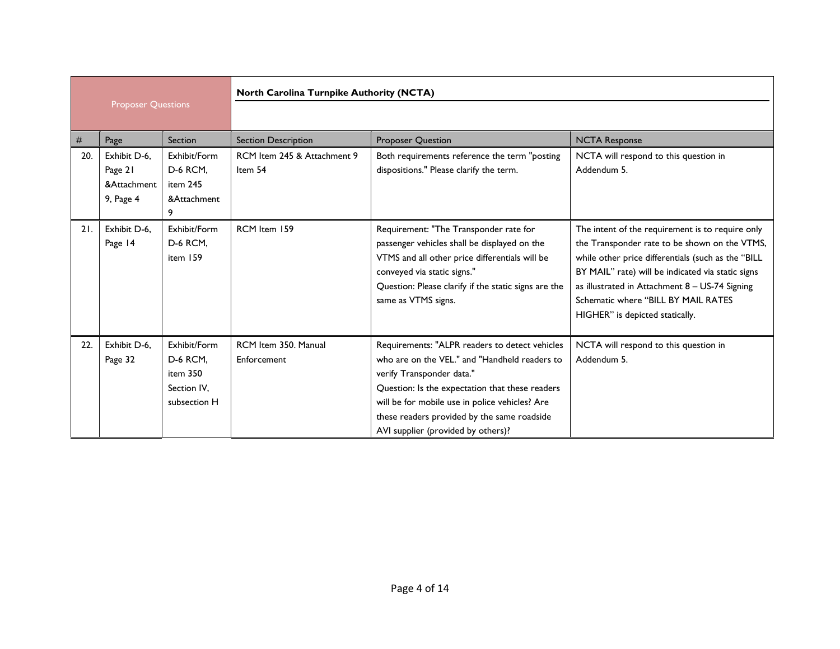|     |                                                     |                                                                            | North Carolina Turnpike Authority (NCTA) |                                                                                                                                                                                                                                                                                                                        |                                                                                                                                                                                                                                                                                                                                          |
|-----|-----------------------------------------------------|----------------------------------------------------------------------------|------------------------------------------|------------------------------------------------------------------------------------------------------------------------------------------------------------------------------------------------------------------------------------------------------------------------------------------------------------------------|------------------------------------------------------------------------------------------------------------------------------------------------------------------------------------------------------------------------------------------------------------------------------------------------------------------------------------------|
|     | <b>Proposer Questions</b>                           |                                                                            |                                          |                                                                                                                                                                                                                                                                                                                        |                                                                                                                                                                                                                                                                                                                                          |
| #   | Page                                                | Section                                                                    | <b>Section Description</b>               | <b>Proposer Question</b>                                                                                                                                                                                                                                                                                               | <b>NCTA Response</b>                                                                                                                                                                                                                                                                                                                     |
| 20. | Exhibit D-6.<br>Page 21<br>&Attachment<br>9, Page 4 | Exhibit/Form<br><b>D-6 RCM,</b><br>item 245<br>&Attachment<br>9            | RCM Item 245 & Attachment 9<br>Item 54   | Both requirements reference the term "posting<br>dispositions." Please clarify the term.                                                                                                                                                                                                                               | NCTA will respond to this question in<br>Addendum 5.                                                                                                                                                                                                                                                                                     |
| 21. | Exhibit D-6.<br>Page 14                             | Exhibit/Form<br><b>D-6 RCM,</b><br>item 159                                | RCM Item 159                             | Requirement: "The Transponder rate for<br>passenger vehicles shall be displayed on the<br>VTMS and all other price differentials will be<br>conveyed via static signs."<br>Question: Please clarify if the static signs are the<br>same as VTMS signs.                                                                 | The intent of the requirement is to require only<br>the Transponder rate to be shown on the VTMS,<br>while other price differentials (such as the "BILL<br>BY MAIL" rate) will be indicated via static signs<br>as illustrated in Attachment 8 - US-74 Signing<br>Schematic where "BILL BY MAIL RATES<br>HIGHER" is depicted statically. |
| 22. | Exhibit D-6.<br>Page 32                             | Exhibit/Form<br><b>D-6 RCM.</b><br>item 350<br>Section IV.<br>subsection H | RCM Item 350, Manual<br>Enforcement      | Requirements: "ALPR readers to detect vehicles<br>who are on the VEL." and "Handheld readers to<br>verify Transponder data."<br>Question: Is the expectation that these readers<br>will be for mobile use in police vehicles? Are<br>these readers provided by the same roadside<br>AVI supplier (provided by others)? | NCTA will respond to this question in<br>Addendum 5.                                                                                                                                                                                                                                                                                     |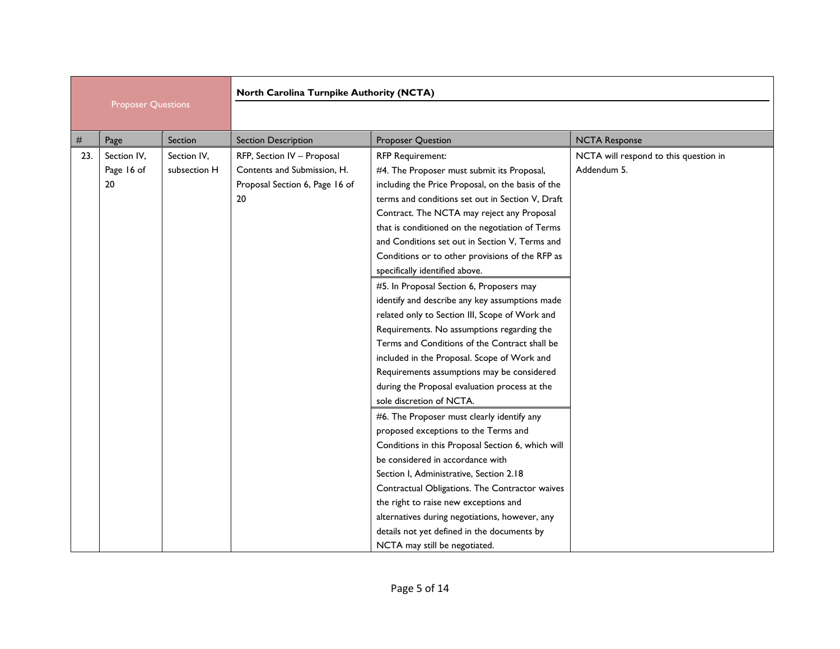|     |                           |              | North Carolina Turnpike Authority (NCTA) |                                                   |                                       |  |
|-----|---------------------------|--------------|------------------------------------------|---------------------------------------------------|---------------------------------------|--|
|     | <b>Proposer Questions</b> |              |                                          |                                                   |                                       |  |
| #   | Page                      | Section      | <b>Section Description</b>               | <b>Proposer Question</b>                          | <b>NCTA Response</b>                  |  |
| 23. | Section IV,               | Section IV,  | RFP, Section IV - Proposal               | <b>RFP Requirement:</b>                           | NCTA will respond to this question in |  |
|     | Page 16 of                | subsection H | Contents and Submission, H.              | #4. The Proposer must submit its Proposal,        | Addendum 5.                           |  |
|     | 20                        |              | Proposal Section 6, Page 16 of           | including the Price Proposal, on the basis of the |                                       |  |
|     |                           |              | 20                                       | terms and conditions set out in Section V, Draft  |                                       |  |
|     |                           |              |                                          | Contract. The NCTA may reject any Proposal        |                                       |  |
|     |                           |              |                                          | that is conditioned on the negotiation of Terms   |                                       |  |
|     |                           |              |                                          | and Conditions set out in Section V, Terms and    |                                       |  |
|     |                           |              |                                          | Conditions or to other provisions of the RFP as   |                                       |  |
|     |                           |              |                                          | specifically identified above.                    |                                       |  |
|     |                           |              |                                          | #5. In Proposal Section 6, Proposers may          |                                       |  |
|     |                           |              |                                          | identify and describe any key assumptions made    |                                       |  |
|     |                           |              |                                          | related only to Section III, Scope of Work and    |                                       |  |
|     |                           |              |                                          | Requirements. No assumptions regarding the        |                                       |  |
|     |                           |              |                                          | Terms and Conditions of the Contract shall be     |                                       |  |
|     |                           |              |                                          | included in the Proposal. Scope of Work and       |                                       |  |
|     |                           |              |                                          | Requirements assumptions may be considered        |                                       |  |
|     |                           |              |                                          | during the Proposal evaluation process at the     |                                       |  |
|     |                           |              |                                          | sole discretion of NCTA.                          |                                       |  |
|     |                           |              |                                          | #6. The Proposer must clearly identify any        |                                       |  |
|     |                           |              |                                          | proposed exceptions to the Terms and              |                                       |  |
|     |                           |              |                                          | Conditions in this Proposal Section 6, which will |                                       |  |
|     |                           |              |                                          | be considered in accordance with                  |                                       |  |
|     |                           |              |                                          | Section I, Administrative, Section 2.18           |                                       |  |
|     |                           |              |                                          | Contractual Obligations. The Contractor waives    |                                       |  |
|     |                           |              |                                          | the right to raise new exceptions and             |                                       |  |
|     |                           |              |                                          | alternatives during negotiations, however, any    |                                       |  |
|     |                           |              |                                          | details not yet defined in the documents by       |                                       |  |
|     |                           |              |                                          | NCTA may still be negotiated.                     |                                       |  |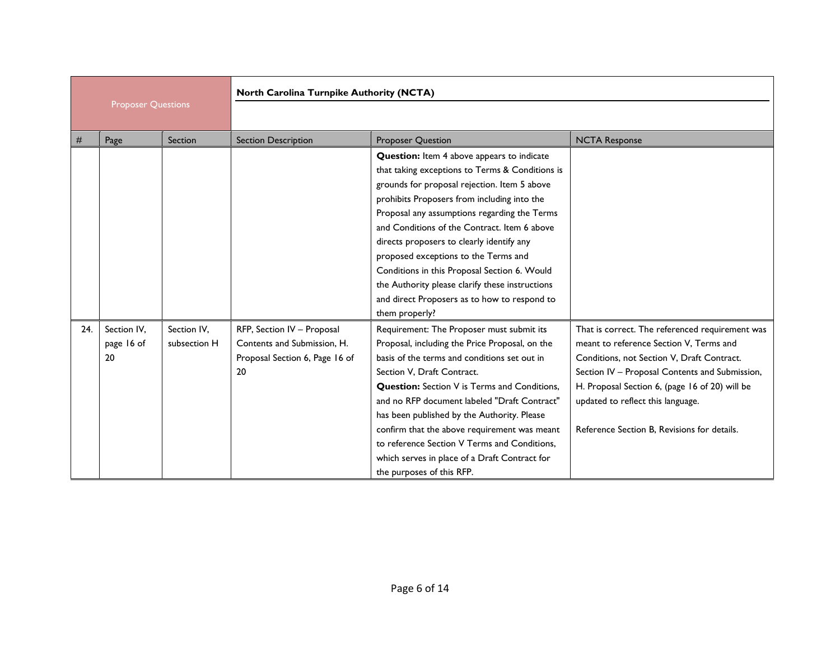|                           |                                 |                             | North Carolina Turnpike Authority (NCTA)                                                          |                                                                                                                                                                                                                                                                                                                                                                                                                                                                                                                                                        |                                                                                                                                                                                                                                                                                                                                  |
|---------------------------|---------------------------------|-----------------------------|---------------------------------------------------------------------------------------------------|--------------------------------------------------------------------------------------------------------------------------------------------------------------------------------------------------------------------------------------------------------------------------------------------------------------------------------------------------------------------------------------------------------------------------------------------------------------------------------------------------------------------------------------------------------|----------------------------------------------------------------------------------------------------------------------------------------------------------------------------------------------------------------------------------------------------------------------------------------------------------------------------------|
| <b>Proposer Questions</b> |                                 |                             |                                                                                                   |                                                                                                                                                                                                                                                                                                                                                                                                                                                                                                                                                        |                                                                                                                                                                                                                                                                                                                                  |
| #                         | Page                            | Section                     | <b>Section Description</b>                                                                        | <b>Proposer Question</b>                                                                                                                                                                                                                                                                                                                                                                                                                                                                                                                               | <b>NCTA Response</b>                                                                                                                                                                                                                                                                                                             |
|                           |                                 |                             |                                                                                                   | Question: Item 4 above appears to indicate<br>that taking exceptions to Terms & Conditions is<br>grounds for proposal rejection. Item 5 above<br>prohibits Proposers from including into the<br>Proposal any assumptions regarding the Terms<br>and Conditions of the Contract, Item 6 above<br>directs proposers to clearly identify any<br>proposed exceptions to the Terms and<br>Conditions in this Proposal Section 6. Would<br>the Authority please clarify these instructions<br>and direct Proposers as to how to respond to<br>them properly? |                                                                                                                                                                                                                                                                                                                                  |
| 24.                       | Section IV,<br>page 16 of<br>20 | Section IV,<br>subsection H | RFP, Section IV - Proposal<br>Contents and Submission, H.<br>Proposal Section 6, Page 16 of<br>20 | Requirement: The Proposer must submit its<br>Proposal, including the Price Proposal, on the<br>basis of the terms and conditions set out in<br>Section V. Draft Contract.<br><b>Question:</b> Section V is Terms and Conditions,<br>and no RFP document labeled "Draft Contract"<br>has been published by the Authority. Please<br>confirm that the above requirement was meant<br>to reference Section V Terms and Conditions.<br>which serves in place of a Draft Contract for<br>the purposes of this RFP.                                          | That is correct. The referenced requirement was<br>meant to reference Section V, Terms and<br>Conditions, not Section V, Draft Contract.<br>Section IV - Proposal Contents and Submission,<br>H. Proposal Section 6, (page 16 of 20) will be<br>updated to reflect this language.<br>Reference Section B. Revisions for details. |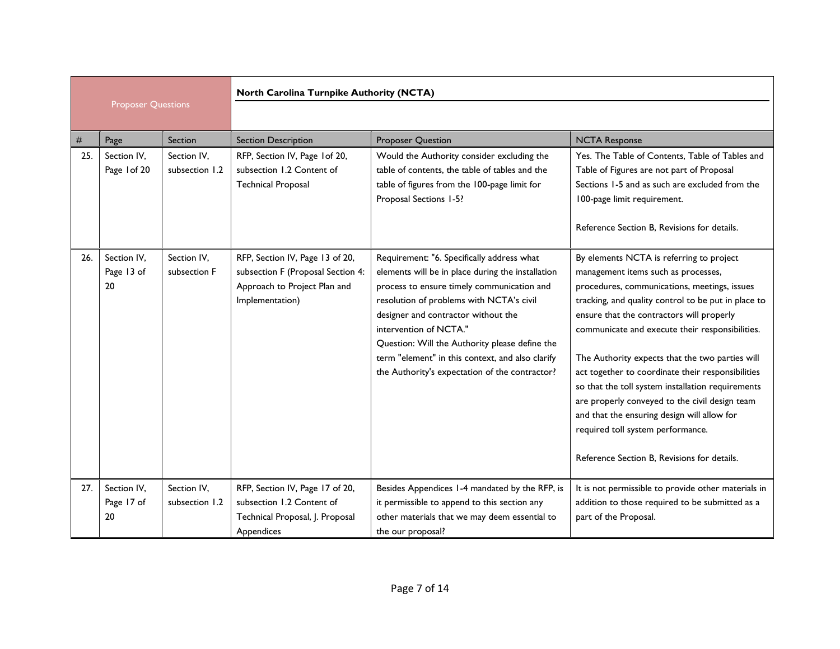|      |                                 |                               | North Carolina Turnpike Authority (NCTA)                                                                                |                                                                                                                                                                                                                                                                                                                                                                                                                    |                                                                                                                                                                                                                                                                                                                                                                                                                                                                                                                                                                                                                                          |  |
|------|---------------------------------|-------------------------------|-------------------------------------------------------------------------------------------------------------------------|--------------------------------------------------------------------------------------------------------------------------------------------------------------------------------------------------------------------------------------------------------------------------------------------------------------------------------------------------------------------------------------------------------------------|------------------------------------------------------------------------------------------------------------------------------------------------------------------------------------------------------------------------------------------------------------------------------------------------------------------------------------------------------------------------------------------------------------------------------------------------------------------------------------------------------------------------------------------------------------------------------------------------------------------------------------------|--|
|      | <b>Proposer Questions</b>       |                               |                                                                                                                         |                                                                                                                                                                                                                                                                                                                                                                                                                    |                                                                                                                                                                                                                                                                                                                                                                                                                                                                                                                                                                                                                                          |  |
| $\#$ | Page                            | Section                       | <b>Section Description</b>                                                                                              | <b>Proposer Question</b>                                                                                                                                                                                                                                                                                                                                                                                           | <b>NCTA Response</b>                                                                                                                                                                                                                                                                                                                                                                                                                                                                                                                                                                                                                     |  |
| 25.  | Section IV,<br>Page 1 of 20     | Section IV,<br>subsection 1.2 | RFP, Section IV, Page 1 of 20,<br>subsection 1.2 Content of<br><b>Technical Proposal</b>                                | Would the Authority consider excluding the<br>table of contents, the table of tables and the<br>table of figures from the 100-page limit for<br>Proposal Sections 1-5?                                                                                                                                                                                                                                             | Yes. The Table of Contents, Table of Tables and<br>Table of Figures are not part of Proposal<br>Sections 1-5 and as such are excluded from the<br>100-page limit requirement.<br>Reference Section B. Revisions for details.                                                                                                                                                                                                                                                                                                                                                                                                             |  |
| 26.  | Section IV,<br>Page 13 of<br>20 | Section IV,<br>subsection F   | RFP, Section IV, Page 13 of 20,<br>subsection F (Proposal Section 4:<br>Approach to Project Plan and<br>Implementation) | Requirement: "6. Specifically address what<br>elements will be in place during the installation<br>process to ensure timely communication and<br>resolution of problems with NCTA's civil<br>designer and contractor without the<br>intervention of NCTA."<br>Question: Will the Authority please define the<br>term "element" in this context, and also clarify<br>the Authority's expectation of the contractor? | By elements NCTA is referring to project<br>management items such as processes,<br>procedures, communications, meetings, issues<br>tracking, and quality control to be put in place to<br>ensure that the contractors will properly<br>communicate and execute their responsibilities.<br>The Authority expects that the two parties will<br>act together to coordinate their responsibilities<br>so that the toll system installation requirements<br>are properly conveyed to the civil design team<br>and that the ensuring design will allow for<br>required toll system performance.<br>Reference Section B, Revisions for details. |  |
| 27.  | Section IV,<br>Page 17 of<br>20 | Section IV,<br>subsection 1.2 | RFP, Section IV, Page 17 of 20,<br>subsection 1.2 Content of<br>Technical Proposal, J. Proposal<br>Appendices           | Besides Appendices 1-4 mandated by the RFP, is<br>it permissible to append to this section any<br>other materials that we may deem essential to<br>the our proposal?                                                                                                                                                                                                                                               | It is not permissible to provide other materials in<br>addition to those required to be submitted as a<br>part of the Proposal.                                                                                                                                                                                                                                                                                                                                                                                                                                                                                                          |  |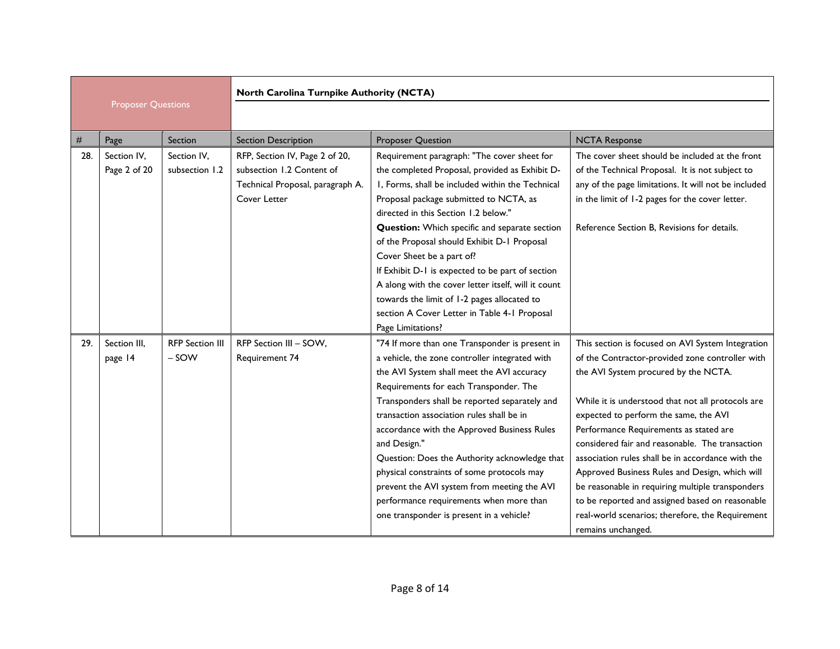|     |                             |                                 | North Carolina Turnpike Authority (NCTA)                                                                        |                                                                                                                                                                                                                                                                                                                                                                                                                                                                                                                                                                                                 |                                                                                                                                                                                                                                                                                                                                                                                                                                                                                                                                                                                                                                 |  |
|-----|-----------------------------|---------------------------------|-----------------------------------------------------------------------------------------------------------------|-------------------------------------------------------------------------------------------------------------------------------------------------------------------------------------------------------------------------------------------------------------------------------------------------------------------------------------------------------------------------------------------------------------------------------------------------------------------------------------------------------------------------------------------------------------------------------------------------|---------------------------------------------------------------------------------------------------------------------------------------------------------------------------------------------------------------------------------------------------------------------------------------------------------------------------------------------------------------------------------------------------------------------------------------------------------------------------------------------------------------------------------------------------------------------------------------------------------------------------------|--|
|     | <b>Proposer Questions</b>   |                                 |                                                                                                                 |                                                                                                                                                                                                                                                                                                                                                                                                                                                                                                                                                                                                 |                                                                                                                                                                                                                                                                                                                                                                                                                                                                                                                                                                                                                                 |  |
| #   | Page                        | Section                         | <b>Section Description</b>                                                                                      | <b>Proposer Question</b>                                                                                                                                                                                                                                                                                                                                                                                                                                                                                                                                                                        | <b>NCTA Response</b>                                                                                                                                                                                                                                                                                                                                                                                                                                                                                                                                                                                                            |  |
| 28. | Section IV,<br>Page 2 of 20 | Section IV,<br>subsection 1.2   | RFP, Section IV, Page 2 of 20,<br>subsection 1.2 Content of<br>Technical Proposal, paragraph A.<br>Cover Letter | Requirement paragraph: "The cover sheet for<br>the completed Proposal, provided as Exhibit D-<br>I, Forms, shall be included within the Technical<br>Proposal package submitted to NCTA, as<br>directed in this Section 1.2 below."<br>Question: Which specific and separate section<br>of the Proposal should Exhibit D-1 Proposal<br>Cover Sheet be a part of?<br>If Exhibit D-1 is expected to be part of section<br>A along with the cover letter itself, will it count<br>towards the limit of 1-2 pages allocated to<br>section A Cover Letter in Table 4-1 Proposal<br>Page Limitations? | The cover sheet should be included at the front<br>of the Technical Proposal. It is not subject to<br>any of the page limitations. It will not be included<br>in the limit of 1-2 pages for the cover letter.<br>Reference Section B. Revisions for details.                                                                                                                                                                                                                                                                                                                                                                    |  |
| 29. | Section III.<br>page 14     | <b>RFP Section III</b><br>- SOW | RFP Section III - SOW,<br>Requirement 74                                                                        | "74 If more than one Transponder is present in<br>a vehicle, the zone controller integrated with<br>the AVI System shall meet the AVI accuracy<br>Requirements for each Transponder. The<br>Transponders shall be reported separately and<br>transaction association rules shall be in<br>accordance with the Approved Business Rules<br>and Design."<br>Question: Does the Authority acknowledge that<br>physical constraints of some protocols may<br>prevent the AVI system from meeting the AVI<br>performance requirements when more than<br>one transponder is present in a vehicle?      | This section is focused on AVI System Integration<br>of the Contractor-provided zone controller with<br>the AVI System procured by the NCTA.<br>While it is understood that not all protocols are<br>expected to perform the same, the AVI<br>Performance Requirements as stated are<br>considered fair and reasonable. The transaction<br>association rules shall be in accordance with the<br>Approved Business Rules and Design, which will<br>be reasonable in requiring multiple transponders<br>to be reported and assigned based on reasonable<br>real-world scenarios; therefore, the Requirement<br>remains unchanged. |  |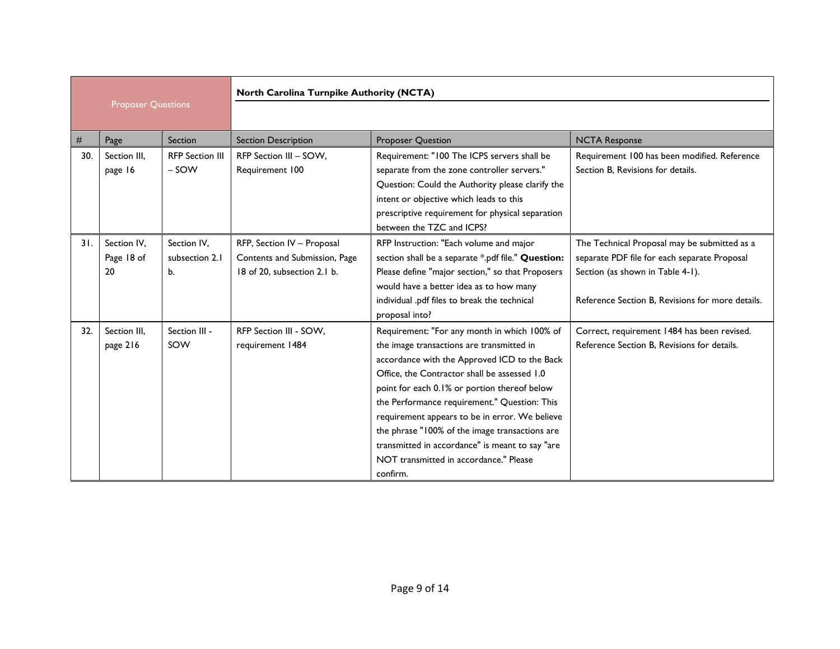|     |                                 |                                     | North Carolina Turnpike Authority (NCTA)                                                   |                                                                                                                                                                                                                                                                                                                                                                                                                                                                                                        |                                                                                                                                                                                      |  |
|-----|---------------------------------|-------------------------------------|--------------------------------------------------------------------------------------------|--------------------------------------------------------------------------------------------------------------------------------------------------------------------------------------------------------------------------------------------------------------------------------------------------------------------------------------------------------------------------------------------------------------------------------------------------------------------------------------------------------|--------------------------------------------------------------------------------------------------------------------------------------------------------------------------------------|--|
|     | <b>Proposer Questions</b>       |                                     |                                                                                            |                                                                                                                                                                                                                                                                                                                                                                                                                                                                                                        |                                                                                                                                                                                      |  |
| #   | Page                            | Section                             | <b>Section Description</b>                                                                 | <b>Proposer Question</b>                                                                                                                                                                                                                                                                                                                                                                                                                                                                               | <b>NCTA Response</b>                                                                                                                                                                 |  |
| 30. | Section III,<br>page 16         | <b>RFP Section III</b><br>$-SOW$    | RFP Section III - SOW,<br>Requirement 100                                                  | Requirement: "100 The ICPS servers shall be<br>separate from the zone controller servers."<br>Question: Could the Authority please clarify the<br>intent or objective which leads to this<br>prescriptive requirement for physical separation<br>between the TZC and ICPS?                                                                                                                                                                                                                             | Requirement 100 has been modified. Reference<br>Section B, Revisions for details.                                                                                                    |  |
| 31. | Section IV.<br>Page 18 of<br>20 | Section IV.<br>subsection 2.1<br>b. | RFP, Section IV - Proposal<br>Contents and Submission, Page<br>18 of 20. subsection 2.1 b. | RFP Instruction: "Each volume and major<br>section shall be a separate *.pdf file." Question:<br>Please define "major section," so that Proposers<br>would have a better idea as to how many<br>individual .pdf files to break the technical<br>proposal into?                                                                                                                                                                                                                                         | The Technical Proposal may be submitted as a<br>separate PDF file for each separate Proposal<br>Section (as shown in Table 4-1).<br>Reference Section B, Revisions for more details. |  |
| 32. | Section III,<br>page 216        | Section III -<br>SOW                | RFP Section III - SOW,<br>requirement 1484                                                 | Requirement: "For any month in which 100% of<br>the image transactions are transmitted in<br>accordance with the Approved ICD to the Back<br>Office, the Contractor shall be assessed 1.0<br>point for each 0.1% or portion thereof below<br>the Performance requirement." Question: This<br>requirement appears to be in error. We believe<br>the phrase "100% of the image transactions are<br>transmitted in accordance" is meant to say "are<br>NOT transmitted in accordance." Please<br>confirm. | Correct, requirement 1484 has been revised.<br>Reference Section B, Revisions for details.                                                                                           |  |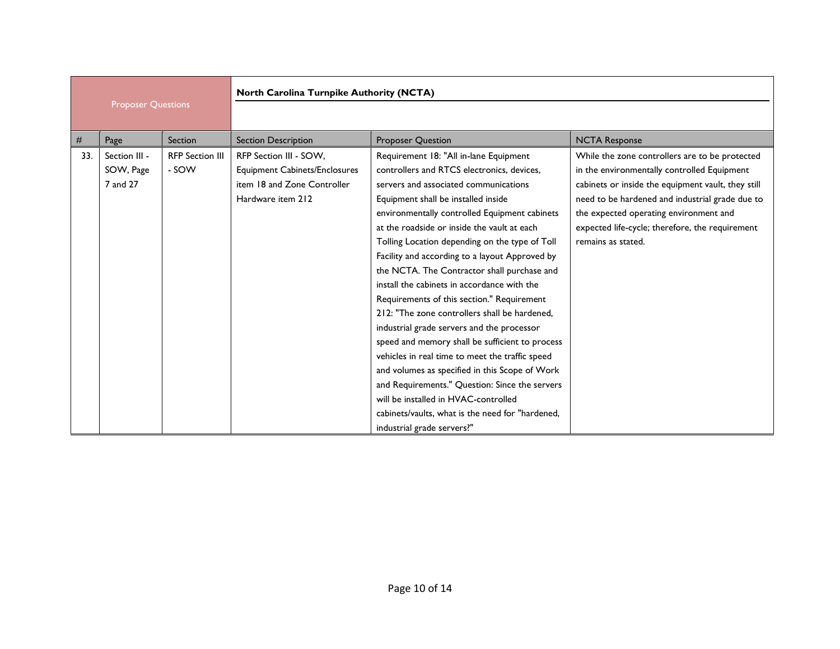|     |                           |                        | North Carolina Turnpike Authority (NCTA) |                                                  |                                                    |  |
|-----|---------------------------|------------------------|------------------------------------------|--------------------------------------------------|----------------------------------------------------|--|
|     | <b>Proposer Questions</b> |                        |                                          |                                                  |                                                    |  |
| #   | Page                      | Section                | <b>Section Description</b>               | <b>Proposer Question</b>                         | <b>NCTA Response</b>                               |  |
| 33. | Section III -             | <b>RFP Section III</b> | RFP Section III - SOW,                   | Requirement 18: "All in-lane Equipment           | While the zone controllers are to be protected     |  |
|     | SOW, Page                 | - SOW                  | <b>Equipment Cabinets/Enclosures</b>     | controllers and RTCS electronics, devices,       | in the environmentally controlled Equipment        |  |
|     | 7 and 27                  |                        | item 18 and Zone Controller              | servers and associated communications            | cabinets or inside the equipment vault, they still |  |
|     |                           |                        | Hardware item 212                        | Equipment shall be installed inside              | need to be hardened and industrial grade due to    |  |
|     |                           |                        |                                          | environmentally controlled Equipment cabinets    | the expected operating environment and             |  |
|     |                           |                        |                                          | at the roadside or inside the vault at each      | expected life-cycle; therefore, the requirement    |  |
|     |                           |                        |                                          | Tolling Location depending on the type of Toll   | remains as stated.                                 |  |
|     |                           |                        |                                          | Facility and according to a layout Approved by   |                                                    |  |
|     |                           |                        |                                          | the NCTA. The Contractor shall purchase and      |                                                    |  |
|     |                           |                        |                                          | install the cabinets in accordance with the      |                                                    |  |
|     |                           |                        |                                          | Requirements of this section." Requirement       |                                                    |  |
|     |                           |                        |                                          | 212: "The zone controllers shall be hardened,    |                                                    |  |
|     |                           |                        |                                          | industrial grade servers and the processor       |                                                    |  |
|     |                           |                        |                                          | speed and memory shall be sufficient to process  |                                                    |  |
|     |                           |                        |                                          | vehicles in real time to meet the traffic speed  |                                                    |  |
|     |                           |                        |                                          | and volumes as specified in this Scope of Work   |                                                    |  |
|     |                           |                        |                                          | and Requirements." Question: Since the servers   |                                                    |  |
|     |                           |                        |                                          | will be installed in HVAC-controlled             |                                                    |  |
|     |                           |                        |                                          | cabinets/vaults, what is the need for "hardened, |                                                    |  |
|     |                           |                        |                                          | industrial grade servers?"                       |                                                    |  |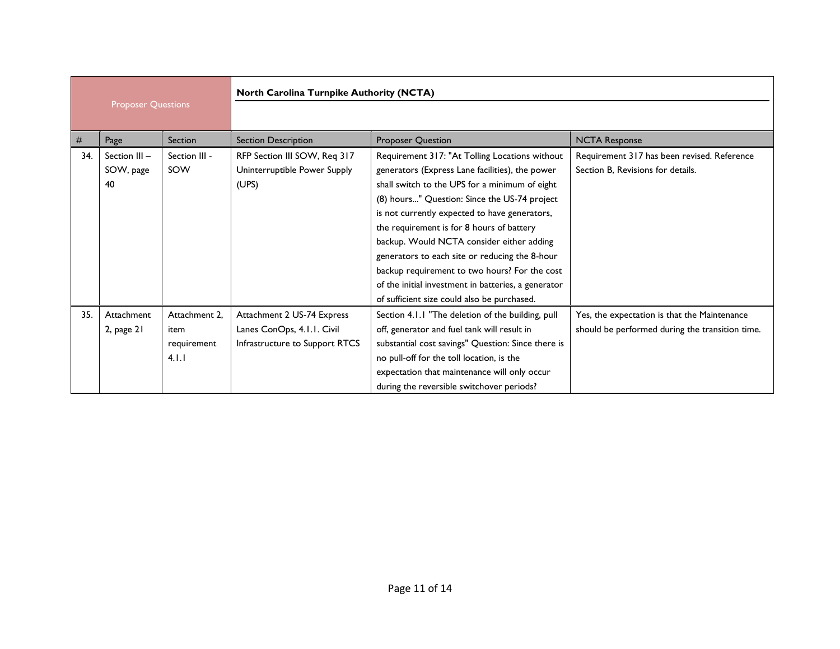|     |                           |               | North Carolina Turnpike Authority (NCTA) |                                                     |                                                 |
|-----|---------------------------|---------------|------------------------------------------|-----------------------------------------------------|-------------------------------------------------|
|     | <b>Proposer Questions</b> |               |                                          |                                                     |                                                 |
| #   | Page                      | Section       | <b>Section Description</b>               | <b>Proposer Question</b>                            | <b>NCTA Response</b>                            |
| 34. | Section III -             | Section III - | RFP Section III SOW, Req 317             | Requirement 317: "At Tolling Locations without      | Requirement 317 has been revised. Reference     |
|     | SOW, page                 | SOW           | Uninterruptible Power Supply             | generators (Express Lane facilities), the power     | Section B. Revisions for details.               |
|     | 40                        |               | (UPS)                                    | shall switch to the UPS for a minimum of eight      |                                                 |
|     |                           |               |                                          | (8) hours" Question: Since the US-74 project        |                                                 |
|     |                           |               |                                          | is not currently expected to have generators,       |                                                 |
|     |                           |               |                                          | the requirement is for 8 hours of battery           |                                                 |
|     |                           |               |                                          | backup. Would NCTA consider either adding           |                                                 |
|     |                           |               |                                          | generators to each site or reducing the 8-hour      |                                                 |
|     |                           |               |                                          | backup requirement to two hours? For the cost       |                                                 |
|     |                           |               |                                          | of the initial investment in batteries, a generator |                                                 |
|     |                           |               |                                          | of sufficient size could also be purchased.         |                                                 |
| 35. | Attachment                | Attachment 2. | Attachment 2 US-74 Express               | Section 4.1.1 "The deletion of the building, pull   | Yes, the expectation is that the Maintenance    |
|     | 2, page $21$              | item          | Lanes ConOps, 4.1.1. Civil               | off, generator and fuel tank will result in         | should be performed during the transition time. |
|     |                           | requirement   | Infrastructure to Support RTCS           | substantial cost savings" Question: Since there is  |                                                 |
|     |                           | 4.1.1         |                                          | no pull-off for the toll location, is the           |                                                 |
|     |                           |               |                                          | expectation that maintenance will only occur        |                                                 |
|     |                           |               |                                          | during the reversible switchover periods?           |                                                 |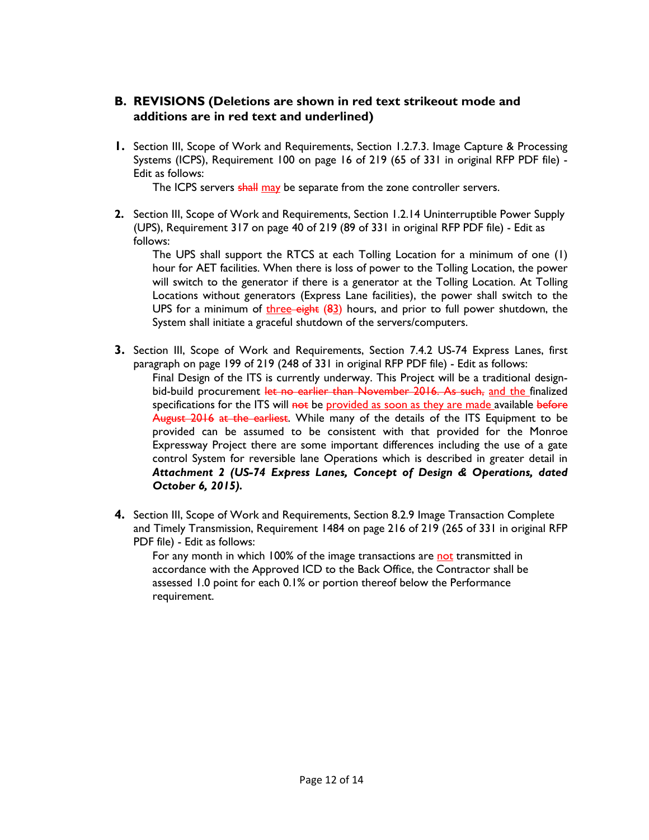#### **B. REVISIONS (Deletions are shown in red text strikeout mode and additions are in red text and underlined)**

**1.** Section III, Scope of Work and Requirements, Section 1.2.7.3. Image Capture & Processing Systems (ICPS), Requirement 100 on page 16 of 219 (65 of 331 in original RFP PDF file) - Edit as follows:

The ICPS servers shall may be separate from the zone controller servers.

**2.** Section III, Scope of Work and Requirements, Section 1.2.14 Uninterruptible Power Supply (UPS), Requirement 317 on page 40 of 219 (89 of 331 in original RFP PDF file) - Edit as follows:

The UPS shall support the RTCS at each Tolling Location for a minimum of one (1) hour for AET facilities. When there is loss of power to the Tolling Location, the power will switch to the generator if there is a generator at the Tolling Location. At Tolling Locations without generators (Express Lane facilities), the power shall switch to the UPS for a minimum of  $t$ hree-eight  $(83)$  hours, and prior to full power shutdown, the System shall initiate a graceful shutdown of the servers/computers.

- **3.** Section III, Scope of Work and Requirements, Section 7.4.2 US-74 Express Lanes, first paragraph on page 199 of 219 (248 of 331 in original RFP PDF file) - Edit as follows: Final Design of the ITS is currently underway. This Project will be a traditional designbid-build procurement let no earlier than November 2016. As such, and the finalized specifications for the ITS will not be provided as soon as they are made available before August 2016 at the earliest. While many of the details of the ITS Equipment to be provided can be assumed to be consistent with that provided for the Monroe Expressway Project there are some important differences including the use of a gate control System for reversible lane Operations which is described in greater detail in *Attachment 2 (US-74 Express Lanes, Concept of Design & Operations, dated October 6, 2015).*
- **4.** Section III, Scope of Work and Requirements, Section 8.2.9 Image Transaction Complete and Timely Transmission, Requirement 1484 on page 216 of 219 (265 of 331 in original RFP PDF file) - Edit as follows:

For any month in which 100% of the image transactions are not transmitted in accordance with the Approved ICD to the Back Office, the Contractor shall be assessed 1.0 point for each 0.1% or portion thereof below the Performance requirement.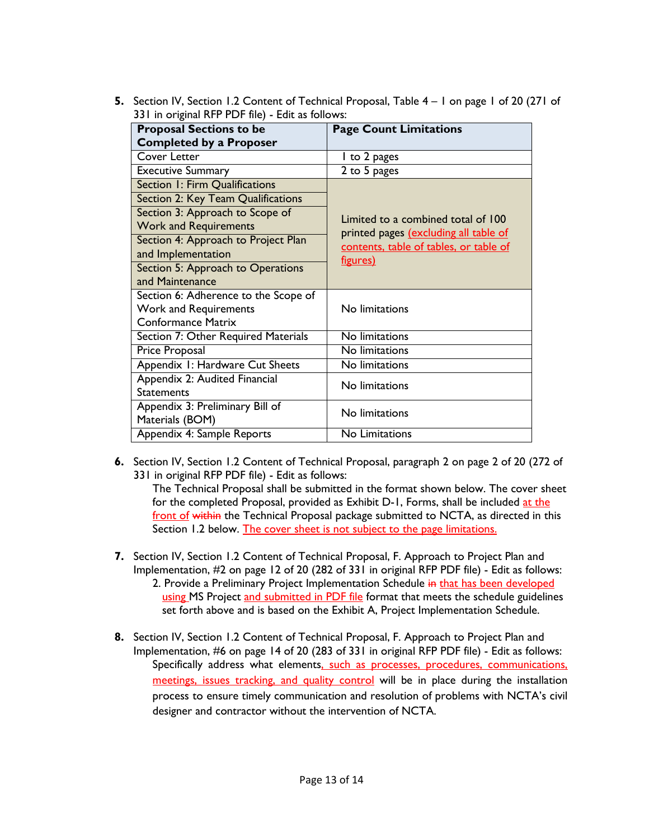**5.** Section IV, Section 1.2 Content of Technical Proposal, Table 4 – 1 on page 1 of 20 (271 of 331 in original RFP PDF file) - Edit as follows:

| <b>Proposal Sections to be</b>       | <b>Page Count Limitations</b>          |
|--------------------------------------|----------------------------------------|
| <b>Completed by a Proposer</b>       |                                        |
| Cover Letter                         | I to 2 pages                           |
| <b>Executive Summary</b>             | 2 to 5 pages                           |
| Section 1: Firm Qualifications       |                                        |
| Section 2: Key Team Qualifications   |                                        |
| Section 3: Approach to Scope of      | Limited to a combined total of 100     |
| <b>Work and Requirements</b>         | printed pages (excluding all table of  |
| Section 4: Approach to Project Plan  | contents, table of tables, or table of |
| and Implementation                   | figures)                               |
| Section 5: Approach to Operations    |                                        |
| and Maintenance                      |                                        |
| Section 6: Adherence to the Scope of |                                        |
| <b>Work and Requirements</b>         | No limitations                         |
| <b>Conformance Matrix</b>            |                                        |
| Section 7: Other Required Materials  | No limitations                         |
| Price Proposal                       | No limitations                         |
| Appendix 1: Hardware Cut Sheets      | No limitations                         |
| Appendix 2: Audited Financial        | No limitations                         |
| <b>Statements</b>                    |                                        |
| Appendix 3: Preliminary Bill of      | No limitations                         |
| Materials (BOM)                      |                                        |
| Appendix 4: Sample Reports           | No Limitations                         |

**6.** Section IV, Section 1.2 Content of Technical Proposal, paragraph 2 on page 2 of 20 (272 of 331 in original RFP PDF file) - Edit as follows:

The Technical Proposal shall be submitted in the format shown below. The cover sheet for the completed Proposal, provided as Exhibit D-1, Forms, shall be included at the front of within the Technical Proposal package submitted to NCTA, as directed in this Section 1.2 below. The cover sheet is not subject to the page limitations.

- **7.** Section IV, Section 1.2 Content of Technical Proposal, F. Approach to Project Plan and Implementation, #2 on page 12 of 20 (282 of 331 in original RFP PDF file) - Edit as follows: 2. Provide a Preliminary Project Implementation Schedule in that has been developed using MS Project and submitted in PDF file format that meets the schedule guidelines set forth above and is based on the Exhibit A, Project Implementation Schedule.
- **8.** Section IV, Section 1.2 Content of Technical Proposal, F. Approach to Project Plan and Implementation, #6 on page 14 of 20 (283 of 331 in original RFP PDF file) - Edit as follows: Specifically address what elements, such as processes, procedures, communications, meetings, issues tracking, and quality control will be in place during the installation process to ensure timely communication and resolution of problems with NCTA's civil designer and contractor without the intervention of NCTA.